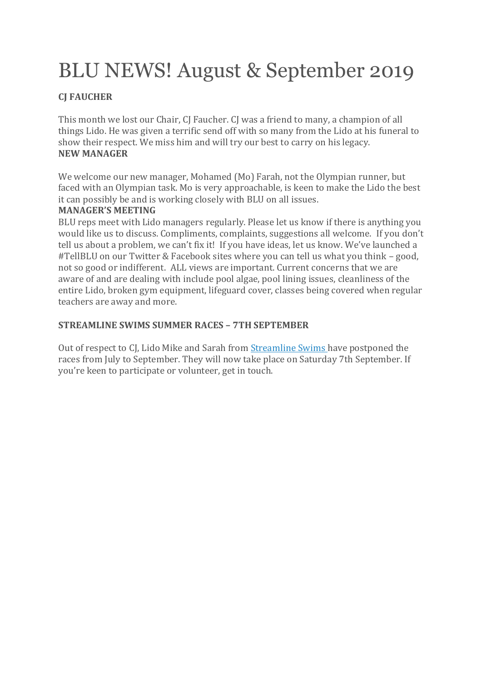# BLU NEWS! August & September 2019

### **CJ FAUCHER**

This month we lost our Chair, CJ Faucher. CJ was a friend to many, a champion of all things Lido. He was given a terrific send off with so many from the Lido at his funeral to show their respect. We miss him and will try our best to carry on his legacy. **NEW MANAGER**

We welcome our new manager, Mohamed (Mo) Farah, not the Olympian runner, but faced with an Olympian task. Mo is very approachable, is keen to make the Lido the best it can possibly be and is working closely with BLU on all issues.

#### **MANAGER'S MEETING**

BLU reps meet with Lido managers regularly. Please let us know if there is anything you would like us to discuss. Compliments, complaints, suggestions all welcome. If you don't tell us about a problem, we can't fix it! If you have ideas, let us know. We've launched a #TellBLU on our Twitter & Facebook sites where you can tell us what you think – good, not so good or indifferent. ALL views are important. Current concerns that we are aware of and are dealing with include pool algae, pool lining issues, cleanliness of the entire Lido, broken gym equipment, lifeguard cover, classes being covered when regular teachers are away and more.

#### **STREAMLINE SWIMS SUMMER RACES – 7TH SEPTEMBER**

Out of respect to CJ, Lido Mike and Sarah from [Streamline](http://www.streamlineswims.com/) Swims have postponed the races from July to September. They will now take place on Saturday 7th September. If you're keen to participate or volunteer, get in touch.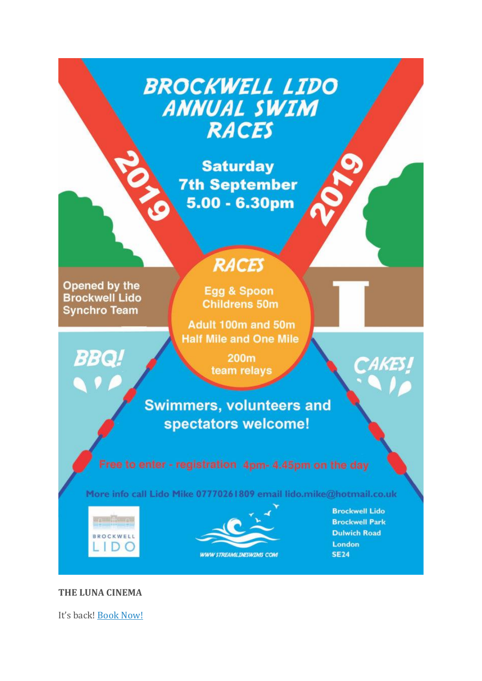## **BROCKWELL LIDO ANNUAL SWIM RACES**

**Saturday 7th September** 5.00 - 6.30pm

Opened by the **Brockwell Lido Synchro Team** 

**BBQ!** 

### **RACES**

Egg & Spoon **Childrens 50m** 

Adult 100m and 50m **Half Mile and One Mile** 

> **200m** team relays

**Swimmers, volunteers and** spectators welcome!

More info call Lido Mike 07770261809 email lido.mike@hotmail.co.uk





**Brockwell Lido Brockwell Park Dulwich Road** London **SE24** 

#### **THE LUNA CINEMA**

It's back! Book Now!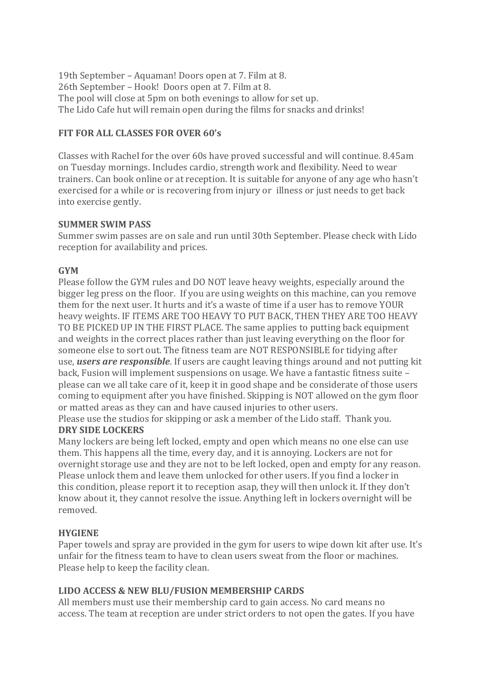19th September – Aquaman! Doors open at 7. Film at 8. 26th September – Hook! Doors open at 7. Film at 8. The pool will close at 5pm on both evenings to allow for set up. The Lido Cafe hut will remain open during the films for snacks and drinks!

#### **FIT FOR ALL CLASSES FOR OVER 60's**

Classes with Rachel for the over 60s have proved successful and will continue. 8.45am on Tuesday mornings. Includes cardio, strength work and flexibility. Need to wear trainers. Can book online or at reception. It is suitable for anyone of any age who hasn't exercised for a while or is recovering from injury or illness or just needs to get back into exercise gently.

#### **SUMMER SWIM PASS**

Summer swim passes are on sale and run until 30th September. Please check with Lido reception for availability and prices.

#### **GYM**

Please follow the GYM rules and DO NOT leave heavy weights, especially around the bigger leg press on the floor. If you are using weights on this machine, can you remove them for the next user. It hurts and it's a waste of time if a user has to remove YOUR heavy weights. IF ITEMS ARE TOO HEAVY TO PUT BACK, THEN THEY ARE TOO HEAVY TO BE PICKED UP IN THE FIRST PLACE. The same applies to putting back equipment and weights in the correct places rather than just leaving everything on the floor for someone else to sort out. The fitness team are NOT RESPONSIBLE for tidying after use, *users are responsible*. If users are caught leaving things around and not putting kit back, Fusion will implement suspensions on usage. We have a fantastic fitness suite – please can we all take care of it, keep it in good shape and be considerate of those users coming to equipment after you have finished. Skipping is NOT allowed on the gym floor or matted areas as they can and have caused injuries to other users.

Please use the studios for skipping or ask a member of the Lido staff. Thank you. **DRY SIDE LOCKERS**

Many lockers are being left locked, empty and open which means no one else can use them. This happens all the time, every day, and it is annoying. Lockers are not for overnight storage use and they are not to be left locked, open and empty for any reason. Please unlock them and leave them unlocked for other users. If you find a locker in this condition, please report it to reception asap, they will then unlock it. If they don't know about it, they cannot resolve the issue. Anything left in lockers overnight will be removed.

#### **HYGIENE**

Paper towels and spray are provided in the gym for users to wipe down kit after use. It's unfair for the fitness team to have to clean users sweat from the floor or machines. Please help to keep the facility clean.

#### **LIDO ACCESS & NEW BLU/FUSION MEMBERSHIP CARDS**

All members must use their membership card to gain access. No card means no access. The team at reception are under strict orders to not open the gates. If you have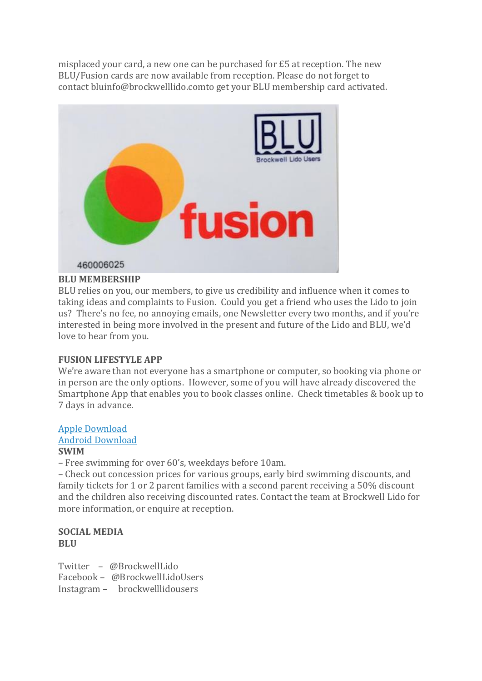misplaced your card, a new one can be purchased for £5 at reception. The new BLU/Fusion cards are now available from reception. Please do not forget to contact bluinfo@brockwelllido.comto get your BLU membership card activated.



#### **BLU MEMBERSHIP**

BLU relies on you, our members, to give us credibility and influence when it comes to taking ideas and complaints to Fusion. Could you get a friend who uses the Lido to join us? There's no fee, no annoying emails, one Newsletter every two months, and if you're interested in being more involved in the present and future of the Lido and BLU, we'd love to hear from you.

#### **FUSION LIFESTYLE APP**

We're aware than not everyone has a smartphone or computer, so booking via phone or in person are the only options. However, some of you will have already discovered the Smartphone App that enables you to book classes online. Check timetables & book up to 7 days in advance.

#### Apple [Download](https://itunes.apple.com/gb/app/fusion-lifestyle/id1149925709?mt=8)

#### Android [Download](https://play.google.com/store/apps/details?id=com.innovatise.fusionlifestyle&hl=en_GB)

#### **SWIM**

– Free swimming for over 60's, weekdays before 10am.

– Check out concession prices for various groups, early bird swimming discounts, and family tickets for 1 or 2 parent families with a second parent receiving a 50% discount and the children also receiving discounted rates. Contact the team at Brockwell Lido for more information, or enquire at reception.

#### **SOCIAL MEDIA BLU**

Twitter – @BrockwellLido Facebook – @BrockwellLidoUsers Instagram – brockwelllidousers